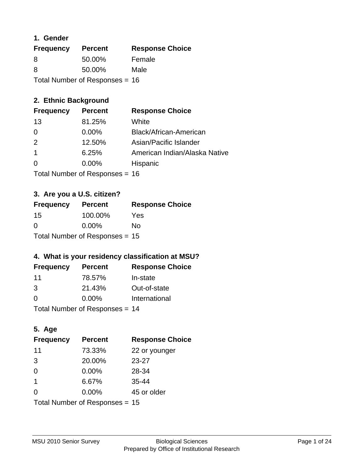#### **1. Gender**

| <b>Frequency</b> | <b>Percent</b>                   | <b>Response Choice</b> |
|------------------|----------------------------------|------------------------|
| 8                | 50.00%                           | Female                 |
| 8                | 50.00%                           | Male                   |
|                  | Total Number of Responses = $16$ |                        |

### **2. Ethnic Background**

| <b>Frequency</b> | <b>Percent</b> | <b>Response Choice</b>        |
|------------------|----------------|-------------------------------|
| 13               | 81.25%         | White                         |
| 0                | $0.00\%$       | Black/African-American        |
| 2                | 12.50%         | Asian/Pacific Islander        |
|                  | 6.25%          | American Indian/Alaska Native |
| $\Omega$         | 0.00%          | Hispanic                      |
|                  |                |                               |

Total Number of Responses = 16

### **3. Are you a U.S. citizen?**

| <b>Frequency</b>                 | <b>Percent</b> | <b>Response Choice</b> |
|----------------------------------|----------------|------------------------|
| 15                               | 100.00%        | Yes                    |
| $\Omega$                         | $0.00\%$       | Nο                     |
| Total Number of Responses = $15$ |                |                        |

### **4. What is your residency classification at MSU?**

| <b>Frequency</b> | <b>Percent</b> | <b>Response Choice</b> |
|------------------|----------------|------------------------|
| 11               | 78.57%         | In-state               |
| 3                | 21.43%         | Out-of-state           |
| $\Omega$         | $0.00\%$       | International          |
|                  |                |                        |

Total Number of Responses = 14

### **5. Age**

| <b>Frequency</b>               | <b>Percent</b> | <b>Response Choice</b> |
|--------------------------------|----------------|------------------------|
| 11                             | 73.33%         | 22 or younger          |
| 3                              | 20.00%         | $23 - 27$              |
| $\Omega$                       | 0.00%          | 28-34                  |
| $\mathbf 1$                    | 6.67%          | $35 - 44$              |
| 0                              | 0.00%          | 45 or older            |
| Total Number of Responses = 15 |                |                        |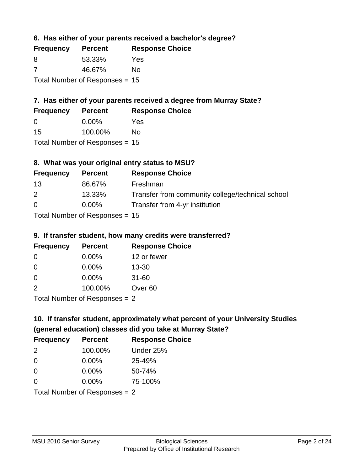**6. Has either of your parents received a bachelor's degree?**

| <b>Frequency</b>                 | <b>Percent</b> | <b>Response Choice</b> |
|----------------------------------|----------------|------------------------|
| 8                                | 53.33%         | Yes                    |
| -7                               | 46.67%         | No                     |
| Total Number of Responses = $15$ |                |                        |

### **7. Has either of your parents received a degree from Murray State?**

| <b>Frequency</b> | <b>Percent</b>               | <b>Response Choice</b> |
|------------------|------------------------------|------------------------|
| $\Omega$         | $0.00\%$                     | Yes                    |
| 15               | 100.00%                      | No                     |
|                  | $\tau$ . The state of $\sim$ |                        |

Total Number of Responses = 15

### **8. What was your original entry status to MSU?**

| <b>Frequency</b>                 | <b>Percent</b> | <b>Response Choice</b>                           |
|----------------------------------|----------------|--------------------------------------------------|
| 13                               | 86.67%         | Freshman                                         |
| 2                                | 13.33%         | Transfer from community college/technical school |
| $\Omega$                         | $0.00\%$       | Transfer from 4-yr institution                   |
| $Total Number of Doononoog = 4F$ |                |                                                  |

Total Number of Responses = 15

#### **9. If transfer student, how many credits were transferred?**

| <b>Frequency</b>          | <b>Percent</b> | <b>Response Choice</b> |
|---------------------------|----------------|------------------------|
| 0                         | $0.00\%$       | 12 or fewer            |
| -0                        | $0.00\%$       | $13 - 30$              |
| $\Omega$                  | 0.00%          | $31 - 60$              |
| $\mathcal{P}$             | 100.00%        | Over <sub>60</sub>     |
| Total Number of Deepensee |                |                        |

Total Number of Responses = 2

# **10. If transfer student, approximately what percent of your University Studies (general education) classes did you take at Murray State?**

| <b>Frequency</b>                | <b>Percent</b> | <b>Response Choice</b> |
|---------------------------------|----------------|------------------------|
| $\mathcal{P}$                   | 100.00%        | Under 25%              |
| $\Omega$                        | $0.00\%$       | 25-49%                 |
| $\Omega$                        | $0.00\%$       | 50-74%                 |
| $\Omega$                        | 0.00%          | 75-100%                |
| Total Number of Responses $= 2$ |                |                        |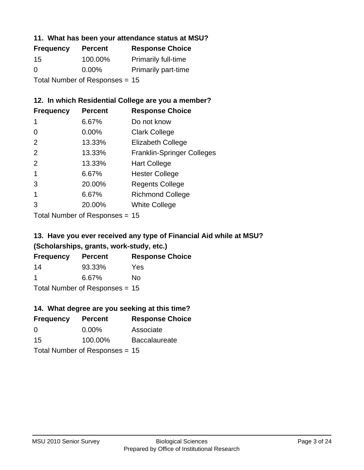#### **11. What has been your attendance status at MSU?**

| <b>Frequency</b>               | <b>Percent</b> | <b>Response Choice</b>     |
|--------------------------------|----------------|----------------------------|
| 15                             | 100.00%        | <b>Primarily full-time</b> |
| 0                              | $0.00\%$       | <b>Primarily part-time</b> |
| Total Number of Responses = 15 |                |                            |

### **12. In which Residential College are you a member?**

| <b>Frequency</b> | <b>Percent</b> | <b>Response Choice</b>            |
|------------------|----------------|-----------------------------------|
| 1                | 6.67%          | Do not know                       |
| 0                | 0.00%          | <b>Clark College</b>              |
| $\mathcal{P}$    | 13.33%         | <b>Elizabeth College</b>          |
| $\mathcal{P}$    | 13.33%         | <b>Franklin-Springer Colleges</b> |
| 2                | 13.33%         | <b>Hart College</b>               |
| 1                | 6.67%          | <b>Hester College</b>             |
| 3                | 20.00%         | <b>Regents College</b>            |
|                  | 6.67%          | <b>Richmond College</b>           |
|                  | 20.00%         | <b>White College</b>              |
|                  |                |                                   |

Total Number of Responses = 15

### **13. Have you ever received any type of Financial Aid while at MSU? (Scholarships, grants, work-study, etc.)**

| <b>Frequency</b> | <b>Percent</b>             | <b>Response Choice</b> |
|------------------|----------------------------|------------------------|
| 14               | 93.33%                     | Yes                    |
| -1               | 6.67%                      | No                     |
|                  | Tatal Number of Desperance |                        |

Total Number of Responses = 15

### **14. What degree are you seeking at this time?**

| <b>Frequency</b> | <b>Percent</b>                   | <b>Response Choice</b> |
|------------------|----------------------------------|------------------------|
| 0                | $0.00\%$                         | Associate              |
| 15               | 100.00%                          | <b>Baccalaureate</b>   |
|                  | Total Number of Responses = $15$ |                        |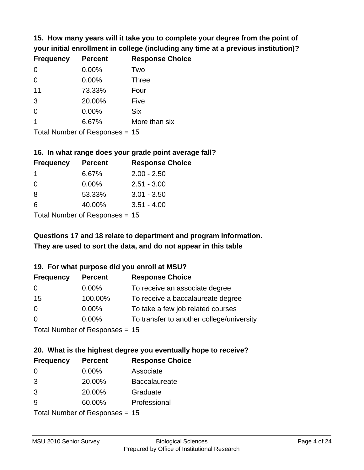**15. How many years will it take you to complete your degree from the point of your initial enrollment in college (including any time at a previous institution)?**

| <b>Frequency</b> | <b>Percent</b> | <b>Response Choice</b> |
|------------------|----------------|------------------------|
| $\Omega$         | 0.00%          | Two                    |
| $\Omega$         | 0.00%          | <b>Three</b>           |
| 11               | 73.33%         | Four                   |
| 3                | 20.00%         | Five                   |
| 0                | 0.00%          | <b>Six</b>             |
|                  | 6.67%          | More than six          |
|                  |                |                        |

Total Number of Responses = 15

#### **16. In what range does your grade point average fall?**

| <b>Frequency</b> | <b>Percent</b>               | <b>Response Choice</b> |
|------------------|------------------------------|------------------------|
|                  | 6.67%                        | $2.00 - 2.50$          |
| 0                | 0.00%                        | $2.51 - 3.00$          |
| -8               | 53.33%                       | $3.01 - 3.50$          |
| 6                | 40.00%                       | $3.51 - 4.00$          |
|                  | $\tau$ . The state of $\sim$ |                        |

Total Number of Responses = 15

### **They are used to sort the data, and do not appear in this table Questions 17 and 18 relate to department and program information.**

#### **19. For what purpose did you enroll at MSU?**

| <b>Frequency</b>               | <b>Percent</b> | <b>Response Choice</b>                    |
|--------------------------------|----------------|-------------------------------------------|
| 0                              | $0.00\%$       | To receive an associate degree            |
| 15                             | 100.00%        | To receive a baccalaureate degree         |
| 0                              | $0.00\%$       | To take a few job related courses         |
| $\Omega$                       | $0.00\%$       | To transfer to another college/university |
| Total Number of Responses - 15 |                |                                           |

Total Number of Responses = 15

# **20. What is the highest degree you eventually hope to receive?**

| <b>Frequency</b> | <b>Percent</b>            | <b>Response Choice</b> |
|------------------|---------------------------|------------------------|
| 0                | $0.00\%$                  | Associate              |
| 3                | 20.00%                    | <b>Baccalaureate</b>   |
| 3                | 20.00%                    | Graduate               |
| 9                | 60.00%                    | Professional           |
|                  | Total Number of Despanses |                        |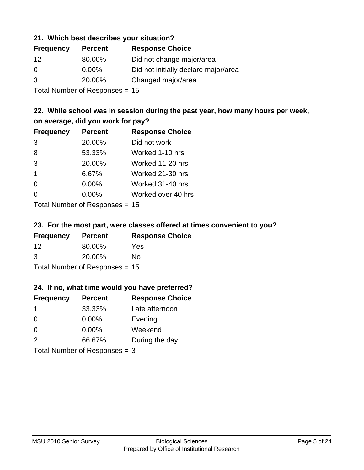#### **21. Which best describes your situation?**

| <b>Frequency</b> | <b>Percent</b> | <b>Response Choice</b>               |
|------------------|----------------|--------------------------------------|
| 12               | 80.00%         | Did not change major/area            |
| $\Omega$         | $0.00\%$       | Did not initially declare major/area |
| 3                | 20.00%         | Changed major/area                   |
|                  |                |                                      |

Total Number of Responses = 15

### **22. While school was in session during the past year, how many hours per week, on average, did you work for pay?**

| <b>Frequency</b> | <b>Percent</b> | <b>Response Choice</b> |
|------------------|----------------|------------------------|
| 3                | 20.00%         | Did not work           |
| 8                | 53.33%         | Worked 1-10 hrs        |
| 3                | 20.00%         | Worked 11-20 hrs       |
| $\overline{1}$   | 6.67%          | Worked 21-30 hrs       |
| $\Omega$         | 0.00%          | Worked 31-40 hrs       |
| 0                | 0.00%          | Worked over 40 hrs     |
|                  |                |                        |

Total Number of Responses = 15

#### **23. For the most part, were classes offered at times convenient to you?**

| <b>Frequency</b> | <b>Percent</b>                 | <b>Response Choice</b> |
|------------------|--------------------------------|------------------------|
| 12               | 80.00%                         | <b>Yes</b>             |
| 3                | 20.00%                         | No.                    |
|                  | Total Number of Responses = 15 |                        |

#### **24. If no, what time would you have preferred?**

| <b>Frequency</b>                | <b>Percent</b> | <b>Response Choice</b> |
|---------------------------------|----------------|------------------------|
| -1                              | 33.33%         | Late afternoon         |
| $\Omega$                        | $0.00\%$       | Evening                |
| $\Omega$                        | 0.00%          | Weekend                |
| 2                               | 66.67%         | During the day         |
| Total Number of Responses = $3$ |                |                        |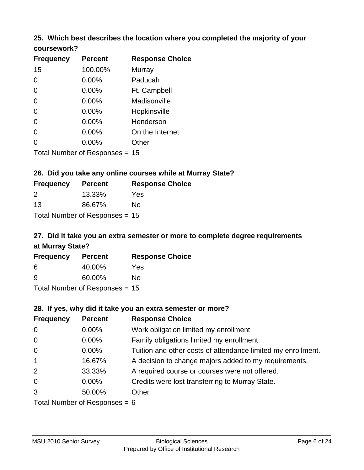# **25. Which best describes the location where you completed the majority of your**

| coursework? |
|-------------|
|-------------|

| <b>Frequency</b> | <b>Percent</b>                 | <b>Response Choice</b> |
|------------------|--------------------------------|------------------------|
| 15               | 100.00%                        | Murray                 |
| 0                | 0.00%                          | Paducah                |
| 0                | 0.00%                          | Ft. Campbell           |
| 0                | 0.00%                          | Madisonville           |
| 0                | 0.00%                          | Hopkinsville           |
| 0                | 0.00%                          | Henderson              |
| 0                | 0.00%                          | On the Internet        |
| 0                | 0.00%                          | Other                  |
|                  | Total Number of Responses = 15 |                        |

### **26. Did you take any online courses while at Murray State?**

| <b>Frequency</b> | <b>Percent</b>                 | <b>Response</b> |
|------------------|--------------------------------|-----------------|
| $\mathcal{P}$    | 13.33%                         | Yes             |
| 13               | 86.67%                         | No.             |
|                  | Total Number of Responses = 15 |                 |

### **27. Did it take you an extra semester or more to complete degree requirements at Murray State?**

**Choice** 

| <b>Frequency</b> | <b>Percent</b>                   | <b>Response Choice</b> |
|------------------|----------------------------------|------------------------|
| 6                | 40.00%                           | Yes                    |
| <u>g</u>         | 60.00%                           | No                     |
|                  | Total Number of Responses = $15$ |                        |

#### **28. If yes, why did it take you an extra semester or more?**

| <b>Frequency</b>                | <b>Percent</b> | <b>Response Choice</b>                                       |  |  |
|---------------------------------|----------------|--------------------------------------------------------------|--|--|
| $\mathbf 0$                     | $0.00\%$       | Work obligation limited my enrollment.                       |  |  |
| $\overline{0}$                  | $0.00\%$       | Family obligations limited my enrollment.                    |  |  |
| $\mathbf 0$                     | $0.00\%$       | Tuition and other costs of attendance limited my enrollment. |  |  |
| $\overline{1}$                  | 16.67%         | A decision to change majors added to my requirements.        |  |  |
| 2                               | 33.33%         | A required course or courses were not offered.               |  |  |
| $\overline{0}$                  | $0.00\%$       | Credits were lost transferring to Murray State.              |  |  |
| 3                               | 50.00%         | Other                                                        |  |  |
| Total Number of Responses = $6$ |                |                                                              |  |  |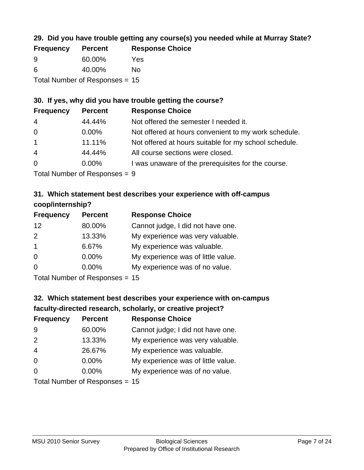### **29. Did you have trouble getting any course(s) you needed while at Murray State?**

| <b>Frequency</b> | <b>Percent</b>                   | <b>Response Choice</b> |
|------------------|----------------------------------|------------------------|
| -9               | 60.00%                           | Yes                    |
| -6               | 40.00%                           | Nο                     |
|                  | Total Number of Responses $= 15$ |                        |

### **30. If yes, why did you have trouble getting the course?**

| <b>Frequency</b> | <b>Percent</b> | <b>Response Choice</b>                                |
|------------------|----------------|-------------------------------------------------------|
| $\overline{4}$   | 44.44%         | Not offered the semester I needed it.                 |
| $\overline{0}$   | $0.00\%$       | Not offered at hours convenient to my work schedule.  |
| $\overline{1}$   | 11.11%         | Not offered at hours suitable for my school schedule. |
| $\overline{4}$   | 44.44%         | All course sections were closed.                      |
| $\overline{0}$   | $0.00\%$       | I was unaware of the prerequisites for the course.    |
|                  |                |                                                       |

Total Number of Responses = 9

### **31. Which statement best describes your experience with off-campus coop/internship?**

| <b>Frequency</b>  | <b>Percent</b> | <b>Response Choice</b>             |
|-------------------|----------------|------------------------------------|
| $12 \overline{ }$ | 80.00%         | Cannot judge, I did not have one.  |
| 2                 | 13.33%         | My experience was very valuable.   |
| $\overline{1}$    | 6.67%          | My experience was valuable.        |
| $\Omega$          | $0.00\%$       | My experience was of little value. |
| $\Omega$          | $0.00\%$       | My experience was of no value.     |
|                   |                |                                    |

Total Number of Responses = 15

# **32. Which statement best describes your experience with on-campus faculty-directed research, scholarly, or creative project?**

| <b>Frequency</b> | <b>Percent</b>            | <b>Response Choice</b>             |
|------------------|---------------------------|------------------------------------|
| 9                | 60.00%                    | Cannot judge; I did not have one.  |
| 2                | 13.33%                    | My experience was very valuable.   |
| $\overline{4}$   | 26.67%                    | My experience was valuable.        |
| $\Omega$         | $0.00\%$                  | My experience was of little value. |
| $\Omega$         | $0.00\%$                  | My experience was of no value.     |
|                  | Total Number of Deepensee |                                    |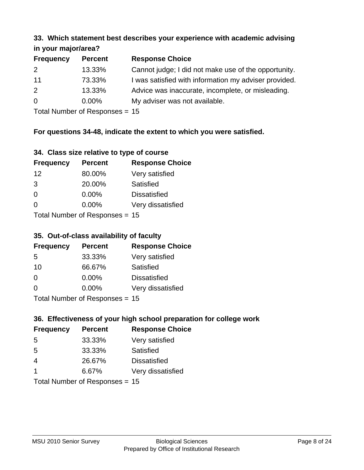#### **33. Which statement best describes your experience with academic advising in your major/area?**

| 111, 122, 111, 112, 121, 121, 131 |                |                                                       |
|-----------------------------------|----------------|-------------------------------------------------------|
| <b>Frequency</b>                  | <b>Percent</b> | <b>Response Choice</b>                                |
| 2                                 | 13.33%         | Cannot judge; I did not make use of the opportunity.  |
| 11                                | 73.33%         | I was satisfied with information my adviser provided. |
| 2                                 | 13.33%         | Advice was inaccurate, incomplete, or misleading.     |
| $\overline{0}$                    | $0.00\%$       | My adviser was not available.                         |
|                                   |                |                                                       |

Total Number of Responses = 15

### **For questions 34-48, indicate the extent to which you were satisfied.**

| 34. Class size relative to type of course |  |  |  |  |  |  |  |  |
|-------------------------------------------|--|--|--|--|--|--|--|--|
|-------------------------------------------|--|--|--|--|--|--|--|--|

| <b>Frequency</b> | <b>Percent</b>                  | <b>Response Choice</b> |
|------------------|---------------------------------|------------------------|
| 12               | 80.00%                          | Very satisfied         |
| 3                | 20.00%                          | Satisfied              |
| $\Omega$         | 0.00%                           | <b>Dissatisfied</b>    |
| $\Omega$         | 0.00%                           | Very dissatisfied      |
|                  | Total Number of Responses $-15$ |                        |

Total Number of Responses = 15

#### **35. Out-of-class availability of faculty**

| <b>Frequency</b> | <b>Percent</b>                   | <b>Response Choice</b> |
|------------------|----------------------------------|------------------------|
| 5                | 33.33%                           | Very satisfied         |
| 10               | 66.67%                           | Satisfied              |
| $\Omega$         | $0.00\%$                         | <b>Dissatisfied</b>    |
| $\Omega$         | $0.00\%$                         | Very dissatisfied      |
|                  | $Total Number of Doepopose = 45$ |                        |

Total Number of Responses = 15

### **36. Effectiveness of your high school preparation for college work**

| <b>Frequency</b>               | <b>Percent</b> | <b>Response Choice</b> |  |  |
|--------------------------------|----------------|------------------------|--|--|
| 5                              | 33.33%         | Very satisfied         |  |  |
| 5                              | 33.33%         | Satisfied              |  |  |
| $\overline{4}$                 | 26.67%         | <b>Dissatisfied</b>    |  |  |
| $\overline{\mathbf{1}}$        | 6.67%          | Very dissatisfied      |  |  |
| Total Number of Responses = 15 |                |                        |  |  |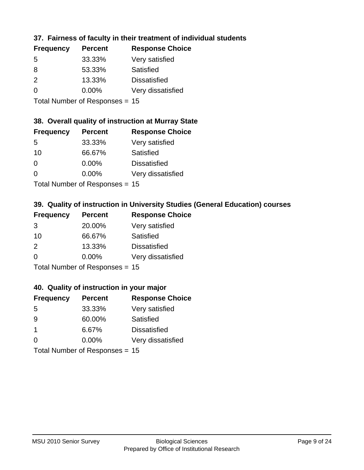### **37. Fairness of faculty in their treatment of individual students**

| <b>Frequency</b> | <b>Percent</b> | <b>Response Choice</b> |
|------------------|----------------|------------------------|
| 5                | 33.33%         | Very satisfied         |
| 8                | 53.33%         | Satisfied              |
| $\mathcal{P}$    | 13.33%         | <b>Dissatisfied</b>    |
| $\Omega$         | 0.00%          | Very dissatisfied      |
|                  |                |                        |

Total Number of Responses = 15

#### **38. Overall quality of instruction at Murray State**

| <b>Frequency</b> | <b>Percent</b> | <b>Response Choice</b> |
|------------------|----------------|------------------------|
| .5               | 33.33%         | Very satisfied         |
| 10               | 66.67%         | Satisfied              |
| $\Omega$         | 0.00%          | <b>Dissatisfied</b>    |
| $\Omega$         | 0.00%          | Very dissatisfied      |
|                  |                |                        |

Total Number of Responses = 15

### **39. Quality of instruction in University Studies (General Education) courses**

| <b>Frequency</b> | <b>Percent</b>            | <b>Response Choice</b> |
|------------------|---------------------------|------------------------|
| 3                | 20.00%                    | Very satisfied         |
| 10               | 66.67%                    | Satisfied              |
| $\mathcal{P}$    | 13.33%                    | <b>Dissatisfied</b>    |
| $\Omega$         | 0.00%                     | Very dissatisfied      |
|                  | Total Number of DoEROR 0. |                        |

Total Number of Responses = 15

#### **40. Quality of instruction in your major**

| <b>Frequency</b> | <b>Percent</b>             | <b>Response Choice</b> |
|------------------|----------------------------|------------------------|
| .5               | 33.33%                     | Very satisfied         |
| 9                | 60.00%                     | Satisfied              |
| $\mathbf 1$      | 6.67%                      | <b>Dissatisfied</b>    |
| $\Omega$         | 0.00%                      | Very dissatisfied      |
|                  | Tatal Number of Desperance |                        |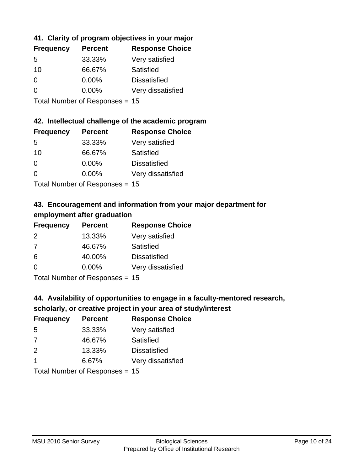### **41. Clarity of program objectives in your major**

| <b>Frequency</b> | <b>Percent</b> | <b>Response Choice</b> |
|------------------|----------------|------------------------|
| .5               | 33.33%         | Very satisfied         |
| 10               | 66.67%         | Satisfied              |
| $\Omega$         | 0.00%          | <b>Dissatisfied</b>    |
| $\Omega$         | 0.00%          | Very dissatisfied      |
|                  |                |                        |

Total Number of Responses = 15

#### **42. Intellectual challenge of the academic program**

| <b>Frequency</b> | <b>Percent</b> | <b>Response Choice</b> |
|------------------|----------------|------------------------|
| .5               | 33.33%         | Very satisfied         |
| 10               | 66.67%         | Satisfied              |
| $\Omega$         | $0.00\%$       | <b>Dissatisfied</b>    |
| ∩                | 0.00%          | Very dissatisfied      |
|                  |                |                        |

Total Number of Responses = 15

### **43. Encouragement and information from your major department for employment after graduation**

| <b>Frequency</b> | <b>Percent</b>                | <b>Response Choice</b> |
|------------------|-------------------------------|------------------------|
| 2                | 13.33%                        | Very satisfied         |
| 7                | 46.67%                        | Satisfied              |
| 6                | 40.00%                        | <b>Dissatisfied</b>    |
| $\Omega$         | $0.00\%$                      | Very dissatisfied      |
|                  | Total Nives box of Doom owned |                        |

Total Number of Responses = 15

## **44. Availability of opportunities to engage in a faculty-mentored research,**

#### **scholarly, or creative project in your area of study/interest**

| <b>Frequency</b> | <b>Percent</b> | <b>Response Choice</b> |
|------------------|----------------|------------------------|
| .5               | 33.33%         | Very satisfied         |
| 7                | 46.67%         | Satisfied              |
| $\mathcal{P}$    | 13.33%         | <b>Dissatisfied</b>    |
|                  | 6.67%          | Very dissatisfied      |
|                  |                |                        |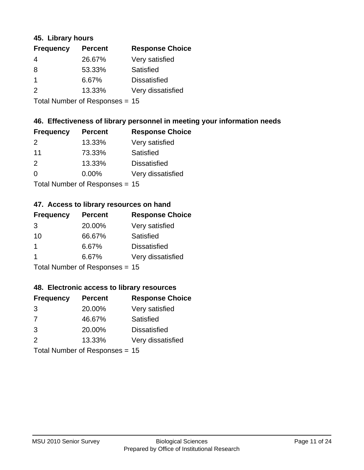#### **45. Library hours**

| <b>Frequency</b> | <b>Percent</b> | <b>Response Choice</b> |
|------------------|----------------|------------------------|
| 4                | 26.67%         | Very satisfied         |
| 8                | 53.33%         | Satisfied              |
| $\mathbf 1$      | 6.67%          | <b>Dissatisfied</b>    |
| 2                | 13.33%         | Very dissatisfied      |
|                  |                |                        |

Total Number of Responses = 15

### **46. Effectiveness of library personnel in meeting your information needs**

| <b>Frequency</b> | <b>Percent</b> | <b>Response Choice</b> |
|------------------|----------------|------------------------|
| $\mathcal{P}$    | 13.33%         | Very satisfied         |
| 11               | 73.33%         | Satisfied              |
| $\mathcal{P}$    | 13.33%         | <b>Dissatisfied</b>    |
| $\Omega$         | 0.00%          | Very dissatisfied      |
|                  |                |                        |

Total Number of Responses = 15

#### **47. Access to library resources on hand**

| <b>Frequency</b> | <b>Percent</b>            | <b>Response Choice</b> |
|------------------|---------------------------|------------------------|
| 3                | 20.00%                    | Very satisfied         |
| 10               | 66.67%                    | Satisfied              |
| 1                | 6.67%                     | <b>Dissatisfied</b>    |
|                  | 6.67%                     | Very dissatisfied      |
|                  | Total Number of Desponses |                        |

Total Number of Responses = 15

#### **48. Electronic access to library resources**

| <b>Frequency</b> | <b>Percent</b>                 | <b>Response Choice</b> |
|------------------|--------------------------------|------------------------|
| 3                | 20.00%                         | Very satisfied         |
| 7                | 46.67%                         | Satisfied              |
| 3                | 20.00%                         | <b>Dissatisfied</b>    |
| $\mathcal{P}$    | 13.33%                         | Very dissatisfied      |
|                  | Total Number of Responses = 15 |                        |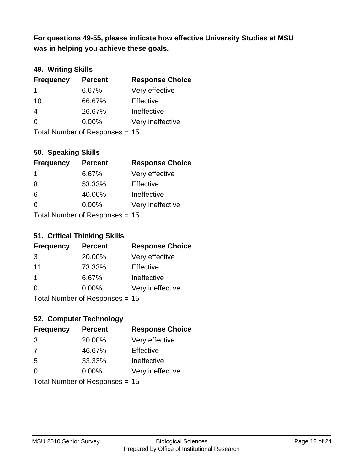**was in helping you achieve these goals. For questions 49-55, please indicate how effective University Studies at MSU** 

### **49. Writing Skills**

| <b>Frequency</b> | <b>Percent</b>                 | <b>Response Choice</b> |
|------------------|--------------------------------|------------------------|
| 1                | 6.67%                          | Very effective         |
| 10               | 66.67%                         | Effective              |
| 4                | 26.67%                         | Ineffective            |
| $\Omega$         | $0.00\%$                       | Very ineffective       |
|                  | Total Number of Responses = 15 |                        |

#### **50. Speaking Skills**

| <b>Frequency</b> | <b>Percent</b>                 | <b>Response Choice</b> |
|------------------|--------------------------------|------------------------|
| -1               | 6.67%                          | Very effective         |
| 8                | 53.33%                         | Effective              |
| 6                | 40.00%                         | Ineffective            |
| $\Omega$         | $0.00\%$                       | Very ineffective       |
|                  | Total Number of Recnonces - 15 |                        |

Total Number of Responses = 15

#### **51. Critical Thinking Skills**

| <b>Frequency</b> | <b>Percent</b>            | <b>Response Choice</b> |
|------------------|---------------------------|------------------------|
| 3                | 20.00%                    | Very effective         |
| 11               | 73.33%                    | Effective              |
| -1               | 6.67%                     | Ineffective            |
| $\Omega$         | 0.00%                     | Very ineffective       |
|                  | Total Number of DoEROR 0. |                        |

Total Number of Responses = 15

### **52. Computer Technology**

| <b>Frequency</b> | <b>Percent</b>                 | <b>Response Choice</b> |
|------------------|--------------------------------|------------------------|
| 3                | 20.00%                         | Very effective         |
| 7                | 46.67%                         | Effective              |
| 5                | 33.33%                         | Ineffective            |
| $\Omega$         | $0.00\%$                       | Very ineffective       |
|                  | Total Number of Responses = 15 |                        |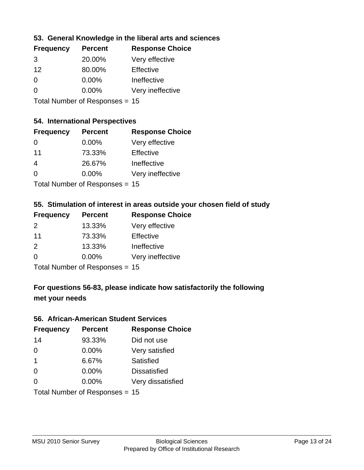#### **53. General Knowledge in the liberal arts and sciences**

| <b>Frequency</b> | <b>Percent</b> | <b>Response Choice</b> |
|------------------|----------------|------------------------|
| 3                | 20.00%         | Very effective         |
| 12               | 80.00%         | Effective              |
| $\Omega$         | 0.00%          | Ineffective            |
| $\Omega$         | 0.00%          | Very ineffective       |
|                  |                |                        |

Total Number of Responses = 15

### **54. International Perspectives**

| <b>Frequency</b> | <b>Percent</b>             | <b>Response Choice</b> |
|------------------|----------------------------|------------------------|
| 0                | 0.00%                      | Very effective         |
| 11               | 73.33%                     | Effective              |
| 4                | 26.67%                     | Ineffective            |
| 0                | 0.00%                      | Very ineffective       |
|                  | Tatal Manakan af Dagmanage |                        |

Total Number of Responses = 15

### **55. Stimulation of interest in areas outside your chosen field of study**

| <b>Frequency</b> | <b>Percent</b>                 | <b>Response Choice</b> |
|------------------|--------------------------------|------------------------|
| $\mathcal{P}$    | 13.33%                         | Very effective         |
| 11               | 73.33%                         | Effective              |
| 2                | 13.33%                         | Ineffective            |
| $\Omega$         | $0.00\%$                       | Very ineffective       |
|                  | Total Number of Responses = 15 |                        |

**For questions 56-83, please indicate how satisfactorily the following met your needs**

#### **56. African-American Student Services**

| <b>Frequency</b> | <b>Percent</b>                 | <b>Response Choice</b> |
|------------------|--------------------------------|------------------------|
| 14               | 93.33%                         | Did not use            |
| $\Omega$         | 0.00%                          | Very satisfied         |
| $\overline{1}$   | 6.67%                          | Satisfied              |
| 0                | $0.00\%$                       | <b>Dissatisfied</b>    |
| $\Omega$         | 0.00%                          | Very dissatisfied      |
|                  | Total Number of Responses = 15 |                        |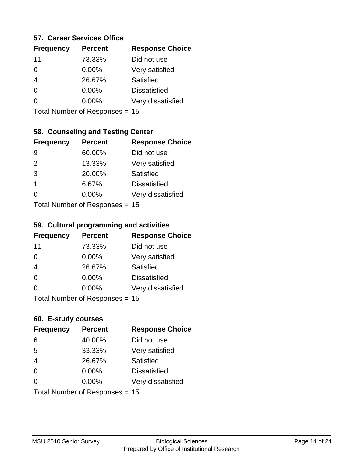#### **57. Career Services Office**

| <b>Frequency</b> | <b>Percent</b> | <b>Response Choice</b> |
|------------------|----------------|------------------------|
| 11               | 73.33%         | Did not use            |
| 0                | $0.00\%$       | Very satisfied         |
|                  | 26.67%         | Satisfied              |
| 0                | $0.00\%$       | <b>Dissatisfied</b>    |
|                  | $0.00\%$       | Very dissatisfied      |
|                  |                |                        |

Total Number of Responses = 15

### **58. Counseling and Testing Center**

| <b>Frequency</b> | <b>Percent</b>            | <b>Response Choice</b> |
|------------------|---------------------------|------------------------|
| 9                | 60.00%                    | Did not use            |
| 2                | 13.33%                    | Very satisfied         |
| 3                | 20.00%                    | <b>Satisfied</b>       |
| 1                | 6.67%                     | <b>Dissatisfied</b>    |
| 0                | 0.00%                     | Very dissatisfied      |
|                  | Total Number of Deepersee |                        |

Total Number of Responses = 15

#### **59. Cultural programming and activities**

| <b>Frequency</b> | <b>Percent</b>                 | <b>Response Choice</b> |
|------------------|--------------------------------|------------------------|
| 11               | 73.33%                         | Did not use            |
| $\Omega$         | $0.00\%$                       | Very satisfied         |
| $\overline{4}$   | 26.67%                         | Satisfied              |
| $\Omega$         | $0.00\%$                       | <b>Dissatisfied</b>    |
| $\Omega$         | $0.00\%$                       | Very dissatisfied      |
|                  | Total Number of Responses = 15 |                        |

#### **60. E-study courses**

| <b>Frequency</b> | <b>Percent</b>                 | <b>Response Choice</b> |
|------------------|--------------------------------|------------------------|
| 6                | 40.00%                         | Did not use            |
| 5                | 33.33%                         | Very satisfied         |
| $\overline{4}$   | 26.67%                         | Satisfied              |
| $\Omega$         | 0.00%                          | <b>Dissatisfied</b>    |
| $\Omega$         | $0.00\%$                       | Very dissatisfied      |
|                  | Total Number of Responses = 15 |                        |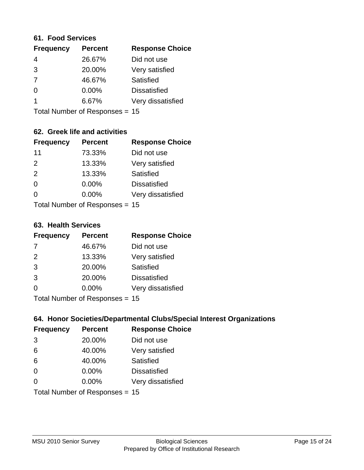#### **61. Food Services**

| <b>Response Choice</b> |
|------------------------|
|                        |
|                        |
|                        |
|                        |
| Very dissatisfied      |
|                        |

Total Number of Responses = 15

### **62. Greek life and activities**

| <b>Frequency</b> | <b>Percent</b>                 | <b>Response Choice</b> |
|------------------|--------------------------------|------------------------|
| 11               | 73.33%                         | Did not use            |
| 2                | 13.33%                         | Very satisfied         |
| 2                | 13.33%                         | Satisfied              |
| $\Omega$         | 0.00%                          | <b>Dissatisfied</b>    |
| 0                | $0.00\%$                       | Very dissatisfied      |
|                  | Total Number of Responses = 15 |                        |

**63. Health Services**

| <b>Frequency</b> | <b>Percent</b>             | <b>Response Choice</b> |
|------------------|----------------------------|------------------------|
| 7                | 46.67%                     | Did not use            |
| 2                | 13.33%                     | Very satisfied         |
| 3                | 20.00%                     | Satisfied              |
| 3                | 20.00%                     | <b>Dissatisfied</b>    |
| $\Omega$         | 0.00%                      | Very dissatisfied      |
|                  | Total Number of Deepersoon |                        |

Total Number of Responses = 15

### **64. Honor Societies/Departmental Clubs/Special Interest Organizations**

| <b>Frequency</b> | <b>Percent</b>                 | <b>Response Choice</b> |
|------------------|--------------------------------|------------------------|
| 3                | 20.00%                         | Did not use            |
| 6                | 40.00%                         | Very satisfied         |
| 6                | 40.00%                         | Satisfied              |
| $\Omega$         | $0.00\%$                       | <b>Dissatisfied</b>    |
| $\Omega$         | 0.00%                          | Very dissatisfied      |
|                  | Total Number of Responses = 15 |                        |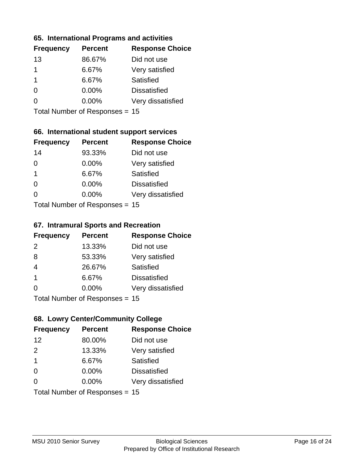#### **65. International Programs and activities**

| <b>Frequency</b> | <b>Percent</b> | <b>Response Choice</b> |
|------------------|----------------|------------------------|
| 13               | 86.67%         | Did not use            |
| 1                | 6.67%          | Very satisfied         |
| 1                | 6.67%          | Satisfied              |
| O                | $0.00\%$       | <b>Dissatisfied</b>    |
|                  | $0.00\%$       | Very dissatisfied      |
|                  |                |                        |

Total Number of Responses = 15

### **66. International student support services**

| <b>Frequency</b> | <b>Percent</b>            | <b>Response Choice</b> |
|------------------|---------------------------|------------------------|
| 14               | 93.33%                    | Did not use            |
| $\Omega$         | 0.00%                     | Very satisfied         |
| $\mathbf 1$      | 6.67%                     | <b>Satisfied</b>       |
| $\Omega$         | 0.00%                     | <b>Dissatisfied</b>    |
| ∩                | 0.00%                     | Very dissatisfied      |
|                  | Total Number of Desponses |                        |

Total Number of Responses = 15

#### **67. Intramural Sports and Recreation**

| <b>Frequency</b> | <b>Percent</b>                  | <b>Response Choice</b> |
|------------------|---------------------------------|------------------------|
| 2                | 13.33%                          | Did not use            |
| 8                | 53.33%                          | Very satisfied         |
| $\overline{4}$   | 26.67%                          | Satisfied              |
| -1               | 6.67%                           | <b>Dissatisfied</b>    |
| $\Omega$         | 0.00%                           | Very dissatisfied      |
|                  | $Total Number of Denonose = 45$ |                        |

I otal Number of Responses = 15

### **68. Lowry Center/Community College**

| <b>Frequency</b>        | <b>Percent</b>                 | <b>Response Choice</b> |
|-------------------------|--------------------------------|------------------------|
| 12                      | 80.00%                         | Did not use            |
| 2                       | 13.33%                         | Very satisfied         |
| $\overline{\mathbf{1}}$ | 6.67%                          | Satisfied              |
| $\Omega$                | $0.00\%$                       | <b>Dissatisfied</b>    |
| $\Omega$                | 0.00%                          | Very dissatisfied      |
|                         | Total Number of Responses = 15 |                        |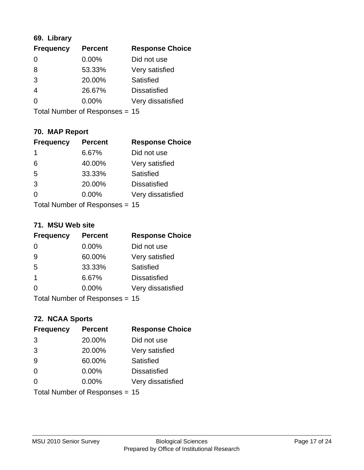### **69. Library**

| <b>Frequency</b> | <b>Percent</b> | <b>Response Choice</b> |
|------------------|----------------|------------------------|
| $\Omega$         | 0.00%          | Did not use            |
| 8                | 53.33%         | Very satisfied         |
| 3                | 20.00%         | Satisfied              |
| 4                | 26.67%         | <b>Dissatisfied</b>    |
| $\Omega$         | $0.00\%$       | Very dissatisfied      |
|                  |                |                        |

Total Number of Responses = 15

### **70. MAP Report**

| <b>Frequency</b> | <b>Percent</b>                 | <b>Response Choice</b> |
|------------------|--------------------------------|------------------------|
| 1                | 6.67%                          | Did not use            |
| 6                | 40.00%                         | Very satisfied         |
| 5                | 33.33%                         | Satisfied              |
| 3                | 20.00%                         | <b>Dissatisfied</b>    |
| 0                | $0.00\%$                       | Very dissatisfied      |
|                  | Total Number of Responses = 15 |                        |

#### **71. MSU Web site**

| <b>Frequency</b> | <b>Percent</b>                   | <b>Response Choice</b> |
|------------------|----------------------------------|------------------------|
| $\Omega$         | $0.00\%$                         | Did not use            |
| 9                | 60.00%                           | Very satisfied         |
| 5                | 33.33%                           | Satisfied              |
| -1               | 6.67%                            | <b>Dissatisfied</b>    |
| ∩                | 0.00%                            | Very dissatisfied      |
|                  | Total Number of Responses $= 15$ |                        |

### **72. NCAA Sports**

| <b>Frequency</b> | <b>Percent</b>                 | <b>Response Choice</b> |
|------------------|--------------------------------|------------------------|
| 3                | 20.00%                         | Did not use            |
| 3                | 20.00%                         | Very satisfied         |
| 9                | 60.00%                         | Satisfied              |
| $\Omega$         | 0.00%                          | <b>Dissatisfied</b>    |
| $\Omega$         | 0.00%                          | Very dissatisfied      |
|                  | Total Number of Responses = 15 |                        |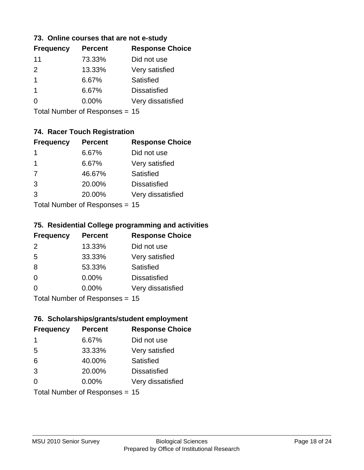#### **73. Online courses that are not e-study**

| <b>Response Choice</b> |
|------------------------|
|                        |
|                        |
|                        |
|                        |
| Very dissatisfied      |
|                        |

Total Number of Responses = 15

### **74. Racer Touch Registration**

| <b>Frequency</b> | <b>Percent</b>            | <b>Response Choice</b> |
|------------------|---------------------------|------------------------|
| 1                | 6.67%                     | Did not use            |
| 1                | 6.67%                     | Very satisfied         |
| 7                | 46.67%                    | <b>Satisfied</b>       |
| 3                | 20.00%                    | <b>Dissatisfied</b>    |
| 3                | 20.00%                    | Very dissatisfied      |
|                  | Total Number of Doopenoon |                        |

Total Number of Responses = 15

#### **75. Residential College programming and activities**

| <b>Frequency</b>                | <b>Percent</b> | <b>Response Choice</b> |
|---------------------------------|----------------|------------------------|
| 2                               | 13.33%         | Did not use            |
| 5                               | 33.33%         | Very satisfied         |
| 8                               | 53.33%         | Satisfied              |
| $\Omega$                        | 0.00%          | <b>Dissatisfied</b>    |
| $\Omega$                        | 0.00%          | Very dissatisfied      |
| $Total Number of Denonose = 45$ |                |                        |

Total Number of Responses = 15

### **76. Scholarships/grants/student employment**

| <b>Frequency</b> | <b>Percent</b>                 | <b>Response Choice</b> |
|------------------|--------------------------------|------------------------|
| $\mathbf 1$      | 6.67%                          | Did not use            |
| 5                | 33.33%                         | Very satisfied         |
| 6                | 40.00%                         | Satisfied              |
| 3                | 20.00%                         | <b>Dissatisfied</b>    |
| $\Omega$         | $0.00\%$                       | Very dissatisfied      |
|                  | Total Number of Responses = 15 |                        |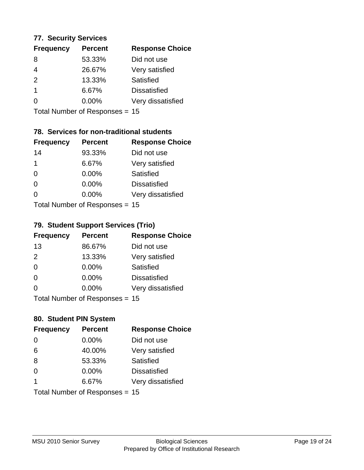#### **77. Security Services**

| <b>Percent</b> | <b>Response Choice</b> |
|----------------|------------------------|
| 53.33%         | Did not use            |
| 26.67%         | Very satisfied         |
| 13.33%         | Satisfied              |
| 6.67%          | <b>Dissatisfied</b>    |
| $0.00\%$       | Very dissatisfied      |
|                |                        |

Total Number of Responses = 15

### **78. Services for non-traditional students**

| <b>Frequency</b> | <b>Percent</b>             | <b>Response Choice</b> |
|------------------|----------------------------|------------------------|
| 14               | 93.33%                     | Did not use            |
| 1                | 6.67%                      | Very satisfied         |
| 0                | 0.00%                      | <b>Satisfied</b>       |
| $\Omega$         | 0.00%                      | <b>Dissatisfied</b>    |
| $\Omega$         | 0.00%                      | Very dissatisfied      |
|                  | Total Number of Deepersoon |                        |

Total Number of Responses = 15

#### **79. Student Support Services (Trio)**

| <b>Frequency</b> | <b>Percent</b>            | <b>Response Choice</b> |
|------------------|---------------------------|------------------------|
| 13               | 86.67%                    | Did not use            |
| 2                | 13.33%                    | Very satisfied         |
| $\Omega$         | $0.00\%$                  | Satisfied              |
| $\Omega$         | 0.00%                     | <b>Dissatisfied</b>    |
| $\Omega$         | 0.00%                     | Very dissatisfied      |
|                  | Total Number of DoEROR 0. |                        |

Total Number of Responses = 15

### **80. Student PIN System**

| <b>Frequency</b>        | <b>Percent</b>                 | <b>Response Choice</b> |
|-------------------------|--------------------------------|------------------------|
| $\Omega$                | 0.00%                          | Did not use            |
| 6                       | 40.00%                         | Very satisfied         |
| 8                       | 53.33%                         | Satisfied              |
| $\Omega$                | 0.00%                          | <b>Dissatisfied</b>    |
| $\overline{\mathbf{1}}$ | 6.67%                          | Very dissatisfied      |
|                         | Total Number of Responses = 15 |                        |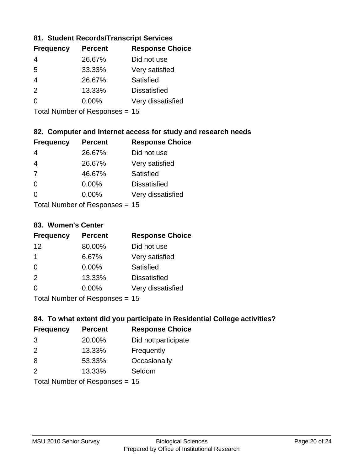#### **81. Student Records/Transcript Services**

| <b>Percent</b> | <b>Response Choice</b> |
|----------------|------------------------|
| 26.67%         | Did not use            |
| 33.33%         | Very satisfied         |
| 26.67%         | Satisfied              |
| 13.33%         | <b>Dissatisfied</b>    |
| $0.00\%$       | Very dissatisfied      |
|                |                        |

Total Number of Responses = 15

### **82. Computer and Internet access for study and research needs**

| <b>Frequency</b> | <b>Percent</b>             | <b>Response Choice</b> |
|------------------|----------------------------|------------------------|
| 4                | 26.67%                     | Did not use            |
| 4                | 26.67%                     | Very satisfied         |
| 7                | 46.67%                     | Satisfied              |
| $\Omega$         | 0.00%                      | <b>Dissatisfied</b>    |
| $\Omega$         | 0.00%                      | Very dissatisfied      |
|                  | Tatal Number of Desperance |                        |

Total Number of Responses = 15

#### **83. Women's Center**

| <b>Frequency</b> | <b>Percent</b>            | <b>Response Choice</b> |
|------------------|---------------------------|------------------------|
| 12               | 80.00%                    | Did not use            |
| 1                | 6.67%                     | Very satisfied         |
| $\Omega$         | $0.00\%$                  | Satisfied              |
| 2                | 13.33%                    | <b>Dissatisfied</b>    |
| $\Omega$         | 0.00%                     | Very dissatisfied      |
|                  | Total Number of Deepersee |                        |

Total Number of Responses = 15

#### **84. To what extent did you participate in Residential College activities?**

| <b>Frequency</b> | <b>Percent</b> | <b>Response Choice</b> |
|------------------|----------------|------------------------|
| 3                | 20.00%         | Did not participate    |
| $\mathcal{P}$    | 13.33%         | Frequently             |
| 8                | 53.33%         | Occasionally           |
| $\mathcal{P}$    | 13.33%         | Seldom                 |
|                  |                |                        |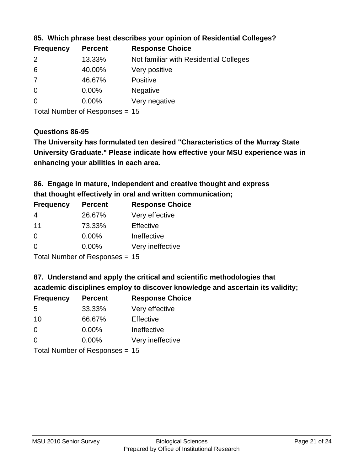| <b>Frequency</b> | <b>Percent</b> | <b>Response Choice</b>                 |
|------------------|----------------|----------------------------------------|
| 2                | 13.33%         | Not familiar with Residential Colleges |
| 6                | 40.00%         | Very positive                          |
| 7                | 46.67%         | <b>Positive</b>                        |
| $\overline{0}$   | $0.00\%$       | <b>Negative</b>                        |
| $\overline{0}$   | $0.00\%$       | Very negative                          |
|                  |                |                                        |

#### **85. Which phrase best describes your opinion of Residential Colleges?**

Total Number of Responses = 15

#### **Questions 86-95**

**University Graduate." Please indicate how effective your MSU experience was in The University has formulated ten desired "Characteristics of the Murray State enhancing your abilities in each area.**

**86. Engage in mature, independent and creative thought and express that thought effectively in oral and written communication;**

| <b>Percent</b> | <b>Response Choice</b> |
|----------------|------------------------|
| 26.67%         | Very effective         |
| 73.33%         | Effective              |
| 0.00%          | Ineffective            |
| $0.00\%$       | Very ineffective       |
|                |                        |

Total Number of Responses = 15

**87. Understand and apply the critical and scientific methodologies that** 

**academic disciplines employ to discover knowledge and ascertain its validity;**

| <b>Frequency</b> | <b>Percent</b> | <b>Response Choice</b> |
|------------------|----------------|------------------------|
| 5                | 33.33%         | Very effective         |
| 10               | 66.67%         | Effective              |
| $\Omega$         | 0.00%          | Ineffective            |
| $\Omega$         | 0.00%          | Very ineffective       |
|                  |                |                        |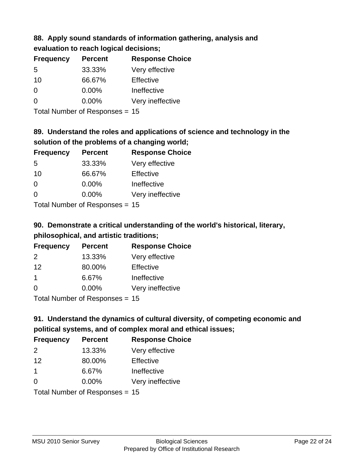### **88. Apply sound standards of information gathering, analysis and evaluation to reach logical decisions;**

| <b>Frequency</b> | <b>Percent</b> | <b>Response Choice</b> |
|------------------|----------------|------------------------|
| 5                | 33.33%         | Very effective         |
| 10               | 66.67%         | Effective              |
| $\Omega$         | 0.00%          | Ineffective            |
| $\Omega$         | 0.00%          | Very ineffective       |
|                  |                |                        |

Total Number of Responses = 15

### **89. Understand the roles and applications of science and technology in the solution of the problems of a changing world;**

| <b>Frequency</b> | <b>Percent</b>               | <b>Response Choice</b> |
|------------------|------------------------------|------------------------|
| 5                | 33.33%                       | Very effective         |
| 10               | 66.67%                       | Effective              |
| $\Omega$         | 0.00%                        | Ineffective            |
| $\Omega$         | 0.00%                        | Very ineffective       |
|                  | $\tau$ . The state of $\sim$ |                        |

Total Number of Responses = 15

# **90. Demonstrate a critical understanding of the world's historical, literary, philosophical, and artistic traditions;**

| <b>Frequency</b> | <b>Percent</b>                                                                                                  | <b>Response Choice</b> |
|------------------|-----------------------------------------------------------------------------------------------------------------|------------------------|
| $\mathcal{P}$    | 13.33%                                                                                                          | Very effective         |
| 12               | 80.00%                                                                                                          | Effective              |
| $\mathbf 1$      | 6.67%                                                                                                           | Ineffective            |
| $\Omega$         | 0.00%                                                                                                           | Very ineffective       |
|                  | The Little and the Little Communication of the Communication of the Communication of the Communication of the U |                        |

Total Number of Responses = 15

# **91. Understand the dynamics of cultural diversity, of competing economic and political systems, and of complex moral and ethical issues;**

| <b>Frequency</b>               | <b>Percent</b> | <b>Response Choice</b> |
|--------------------------------|----------------|------------------------|
| 2                              | 13.33%         | Very effective         |
| 12                             | 80.00%         | Effective              |
| $\overline{1}$                 | 6.67%          | Ineffective            |
| $\Omega$                       | 0.00%          | Very ineffective       |
| Total Number of Responses = 15 |                |                        |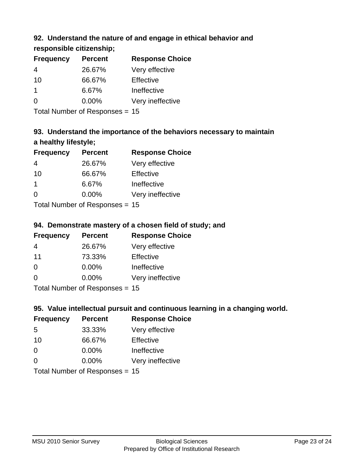### **92. Understand the nature of and engage in ethical behavior and**

**responsible citizenship;**

| <b>Frequency</b> | <b>Percent</b> | <b>Response Choice</b> |
|------------------|----------------|------------------------|
| 4                | 26.67%         | Very effective         |
| 10               | 66.67%         | Effective              |
|                  | 6.67%          | Ineffective            |
| $\Omega$         | $0.00\%$       | Very ineffective       |
|                  |                |                        |

Total Number of Responses = 15

# **93. Understand the importance of the behaviors necessary to maintain a healthy lifestyle;**

| <b>Frequency</b>            | <b>Percent</b> | <b>Response Choice</b> |
|-----------------------------|----------------|------------------------|
| 4                           | 26.67%         | Very effective         |
| 10                          | 66.67%         | Effective              |
| 1                           | 6.67%          | Ineffective            |
| $\Omega$                    | 0.00%          | Very ineffective       |
| Tatal Massakan af Dagmannar |                |                        |

Total Number of Responses = 15

### **94. Demonstrate mastery of a chosen field of study; and**

| <b>Frequency</b> | <b>Percent</b> | <b>Response Choice</b> |
|------------------|----------------|------------------------|
| 4                | 26.67%         | Very effective         |
| 11               | 73.33%         | Effective              |
| $\Omega$         | 0.00%          | Ineffective            |
| $\Omega$         | 0.00%          | Very ineffective       |
|                  |                |                        |

Total Number of Responses = 15

### **95. Value intellectual pursuit and continuous learning in a changing world.**

| <b>Frequency</b>           | <b>Percent</b> | <b>Response Choice</b> |
|----------------------------|----------------|------------------------|
| -5                         | 33.33%         | Very effective         |
| 10                         | 66.67%         | Effective              |
| $\Omega$                   | $0.00\%$       | Ineffective            |
| $\Omega$                   | 0.00%          | Very ineffective       |
| Tetal Number of Desperance |                |                        |